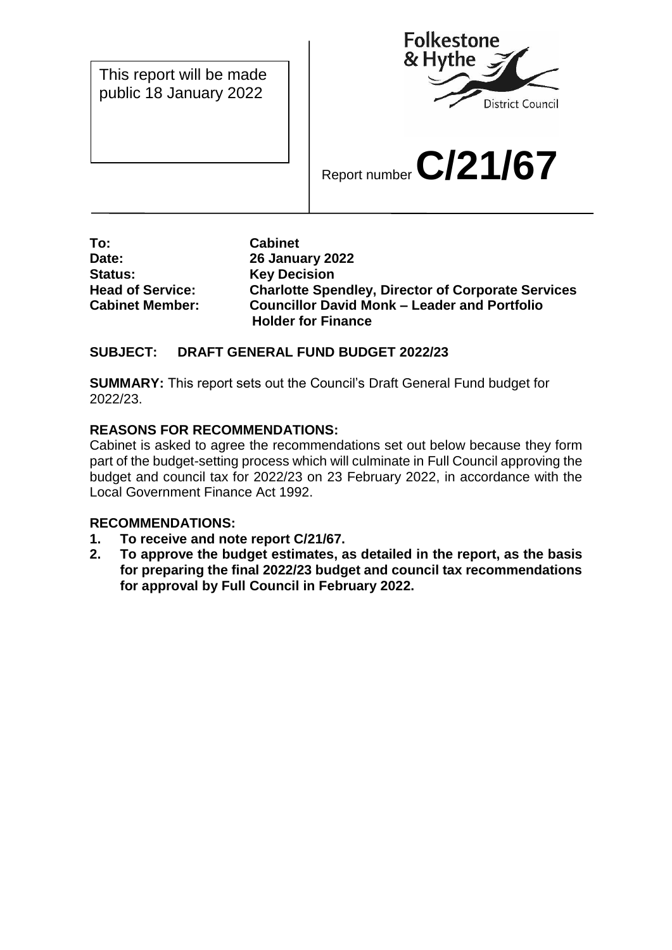This report will be made public 18 January 2022



Report number **C/21/67**

**To: Cabinet Date: 26 January 2022 Status: Key Decision**

**Head of Service: Charlotte Spendley, Director of Corporate Services Cabinet Member: Councillor David Monk – Leader and Portfolio Holder for Finance**

## **SUBJECT: DRAFT GENERAL FUND BUDGET 2022/23**

**SUMMARY:** This report sets out the Council's Draft General Fund budget for 2022/23.

# **REASONS FOR RECOMMENDATIONS:**

Cabinet is asked to agree the recommendations set out below because they form part of the budget-setting process which will culminate in Full Council approving the budget and council tax for 2022/23 on 23 February 2022, in accordance with the Local Government Finance Act 1992.

## **RECOMMENDATIONS:**

- **1. To receive and note report C/21/67.**
- **2. To approve the budget estimates, as detailed in the report, as the basis for preparing the final 2022/23 budget and council tax recommendations for approval by Full Council in February 2022.**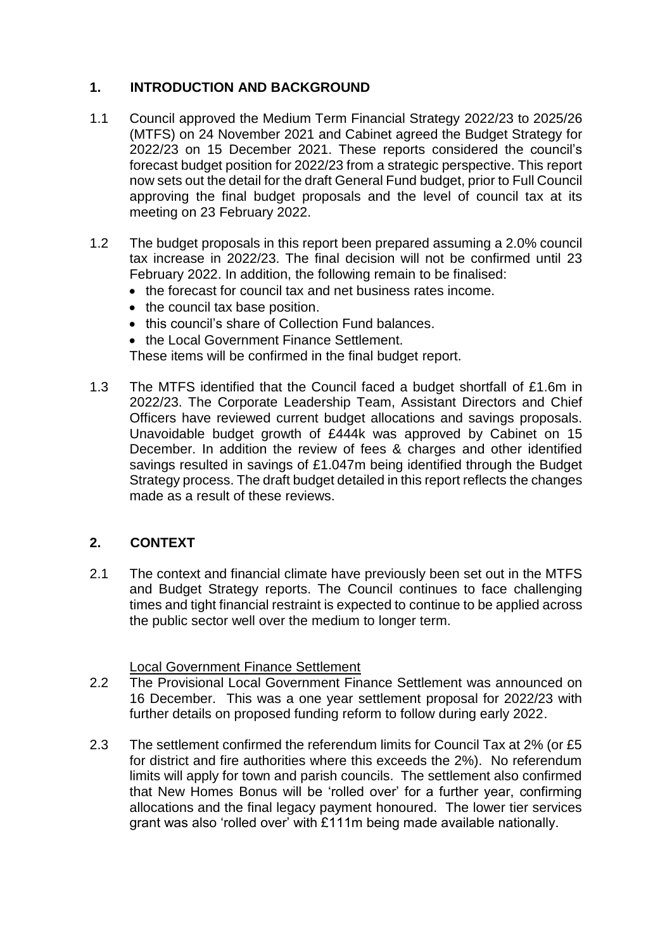# **1. INTRODUCTION AND BACKGROUND**

- 1.1 Council approved the Medium Term Financial Strategy 2022/23 to 2025/26 (MTFS) on 24 November 2021 and Cabinet agreed the Budget Strategy for 2022/23 on 15 December 2021. These reports considered the council's forecast budget position for 2022/23 from a strategic perspective. This report now sets out the detail for the draft General Fund budget, prior to Full Council approving the final budget proposals and the level of council tax at its meeting on 23 February 2022.
- 1.2 The budget proposals in this report been prepared assuming a 2.0% council tax increase in 2022/23. The final decision will not be confirmed until 23 February 2022. In addition, the following remain to be finalised:
	- the forecast for council tax and net business rates income.
	- the council tax base position.
	- this council's share of Collection Fund balances.
	- the Local Government Finance Settlement.

These items will be confirmed in the final budget report.

1.3 The MTFS identified that the Council faced a budget shortfall of £1.6m in 2022/23. The Corporate Leadership Team, Assistant Directors and Chief Officers have reviewed current budget allocations and savings proposals. Unavoidable budget growth of £444k was approved by Cabinet on 15 December. In addition the review of fees & charges and other identified savings resulted in savings of £1.047m being identified through the Budget Strategy process. The draft budget detailed in this report reflects the changes made as a result of these reviews.

## **2. CONTEXT**

2.1 The context and financial climate have previously been set out in the MTFS and Budget Strategy reports. The Council continues to face challenging times and tight financial restraint is expected to continue to be applied across the public sector well over the medium to longer term.

#### Local Government Finance Settlement

- 2.2 The Provisional Local Government Finance Settlement was announced on 16 December. This was a one year settlement proposal for 2022/23 with further details on proposed funding reform to follow during early 2022.
- 2.3 The settlement confirmed the referendum limits for Council Tax at 2% (or £5 for district and fire authorities where this exceeds the 2%). No referendum limits will apply for town and parish councils. The settlement also confirmed that New Homes Bonus will be 'rolled over' for a further year, confirming allocations and the final legacy payment honoured. The lower tier services grant was also 'rolled over' with £111m being made available nationally.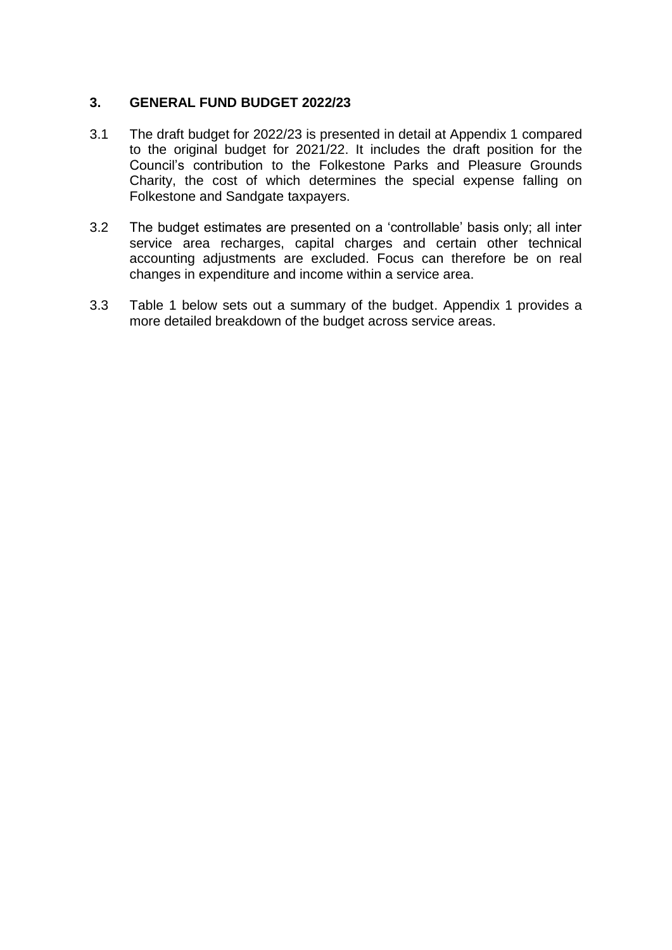### **3. GENERAL FUND BUDGET 2022/23**

- 3.1 The draft budget for 2022/23 is presented in detail at Appendix 1 compared to the original budget for 2021/22. It includes the draft position for the Council's contribution to the Folkestone Parks and Pleasure Grounds Charity, the cost of which determines the special expense falling on Folkestone and Sandgate taxpayers.
- 3.2 The budget estimates are presented on a 'controllable' basis only; all inter service area recharges, capital charges and certain other technical accounting adjustments are excluded. Focus can therefore be on real changes in expenditure and income within a service area.
- 3.3 Table 1 below sets out a summary of the budget. Appendix 1 provides a more detailed breakdown of the budget across service areas.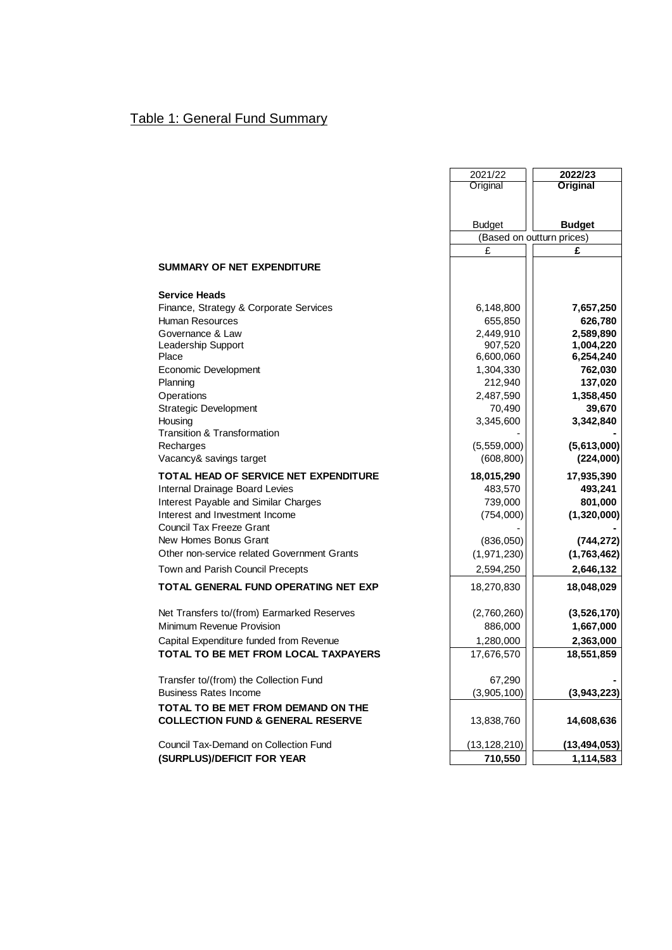# Table 1: General Fund Summary

|                                              | 2021/22        | 2022/23                   |
|----------------------------------------------|----------------|---------------------------|
|                                              | Original       | Original                  |
|                                              |                |                           |
|                                              | <b>Budget</b>  | <b>Budget</b>             |
|                                              |                | (Based on outturn prices) |
|                                              | £              | £                         |
| <b>SUMMARY OF NET EXPENDITURE</b>            |                |                           |
| <b>Service Heads</b>                         |                |                           |
| Finance, Strategy & Corporate Services       | 6,148,800      | 7,657,250                 |
| Human Resources                              | 655,850        | 626,780                   |
| Governance & Law                             | 2,449,910      | 2,589,890                 |
| Leadership Support                           | 907,520        | 1,004,220                 |
| Place                                        | 6,600,060      | 6,254,240                 |
| Economic Development                         | 1,304,330      | 762,030                   |
| Planning                                     | 212,940        | 137,020                   |
| Operations                                   | 2,487,590      | 1,358,450                 |
| <b>Strategic Development</b>                 | 70,490         | 39,670                    |
| Housing                                      | 3,345,600      | 3,342,840                 |
| Transition & Transformation                  |                |                           |
| Recharges                                    | (5,559,000)    | (5,613,000)               |
| Vacancy& savings target                      | (608, 800)     | (224,000)                 |
| TOTAL HEAD OF SERVICE NET EXPENDITURE        | 18,015,290     | 17,935,390                |
| Internal Drainage Board Levies               | 483,570        | 493,241                   |
| Interest Payable and Similar Charges         | 739,000        | 801,000                   |
| Interest and Investment Income               | (754,000)      | (1,320,000)               |
| <b>Council Tax Freeze Grant</b>              |                |                           |
| New Homes Bonus Grant                        | (836,050)      | (744, 272)                |
| Other non-service related Government Grants  | (1,971,230)    | (1,763,462)               |
| Town and Parish Council Precepts             | 2,594,250      | 2,646,132                 |
| <b>TOTAL GENERAL FUND OPERATING NET EXP</b>  | 18,270,830     | 18,048,029                |
|                                              |                |                           |
| Net Transfers to/(from) Earmarked Reserves   | (2,760,260)    | (3,526,170)               |
| Minimum Revenue Provision                    | 886,000        | 1,667,000                 |
| Capital Expenditure funded from Revenue      | 1,280,000      | 2,363,000                 |
| TOTAL TO BE MET FROM LOCAL TAXPAYERS         | 17,676,570     | 18,551,859                |
| Transfer to/(from) the Collection Fund       | 67,290         |                           |
| <b>Business Rates Income</b>                 | (3,905,100)    | (3,943,223)               |
| TOTAL TO BE MET FROM DEMAND ON THE           |                |                           |
| <b>COLLECTION FUND &amp; GENERAL RESERVE</b> | 13,838,760     | 14,608,636                |
| Council Tax-Demand on Collection Fund        | (13, 128, 210) | (13, 494, 053)            |
| (SURPLUS)/DEFICIT FOR YEAR                   | 710,550        | 1,114,583                 |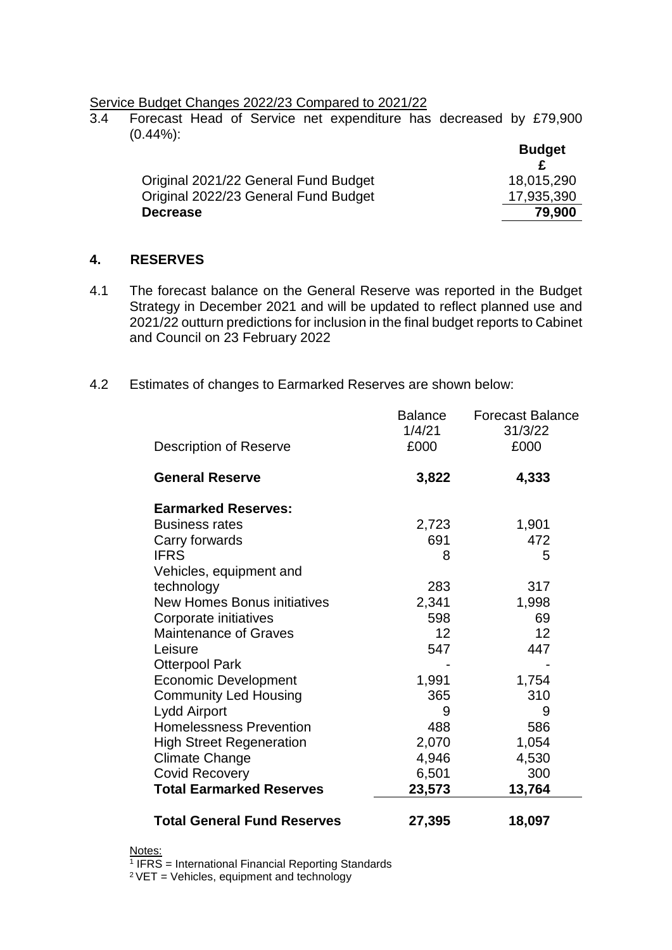Service Budget Changes 2022/23 Compared to 2021/22<br>3.4 Forecast Head of Service net expenditure has

3.4 Forecast Head of Service net expenditure has decreased by £79,900 (0.44%):

|                                      | <b>Budget</b> |
|--------------------------------------|---------------|
| Original 2021/22 General Fund Budget | 18,015,290    |
| Original 2022/23 General Fund Budget | 17,935,390    |
| <b>Decrease</b>                      | 79,900        |

#### **4. RESERVES**

- 4.1 The forecast balance on the General Reserve was reported in the Budget Strategy in December 2021 and will be updated to reflect planned use and 2021/22 outturn predictions for inclusion in the final budget reports to Cabinet and Council on 23 February 2022
- 4.2 Estimates of changes to Earmarked Reserves are shown below:

| <b>Total General Fund Reserves</b> | 27,395         | 18,097                  |
|------------------------------------|----------------|-------------------------|
| <b>Total Earmarked Reserves</b>    | 23,573         | 13,764                  |
| <b>Covid Recovery</b>              | 6,501          | 300                     |
| <b>Climate Change</b>              | 4,946          | 4,530                   |
| <b>High Street Regeneration</b>    | 2,070          | 1,054                   |
| <b>Homelessness Prevention</b>     | 488            | 586                     |
| <b>Lydd Airport</b>                | 9              | 9                       |
| <b>Community Led Housing</b>       | 365            | 310                     |
| <b>Economic Development</b>        | 1,991          | 1,754                   |
| <b>Otterpool Park</b>              |                |                         |
| Leisure                            | 547            | 447                     |
| <b>Maintenance of Graves</b>       | 12             | 12                      |
| Corporate initiatives              | 598            | 69                      |
| <b>New Homes Bonus initiatives</b> | 2,341          | 1,998                   |
| technology                         | 283            | 317                     |
| Vehicles, equipment and            |                |                         |
| <b>IFRS</b>                        | 8              | 5                       |
| Carry forwards                     | 691            | 472                     |
| <b>Business rates</b>              | 2,723          | 1,901                   |
| <b>Earmarked Reserves:</b>         |                |                         |
| <b>General Reserve</b>             | 3,822          | 4,333                   |
| Description of Reserve             | £000           | £000                    |
|                                    | 1/4/21         | 31/3/22                 |
|                                    | <b>Balance</b> | <b>Forecast Balance</b> |

Notes:

<sup>1</sup> IFRS = International Financial Reporting Standards

 $2$  VET = Vehicles, equipment and technology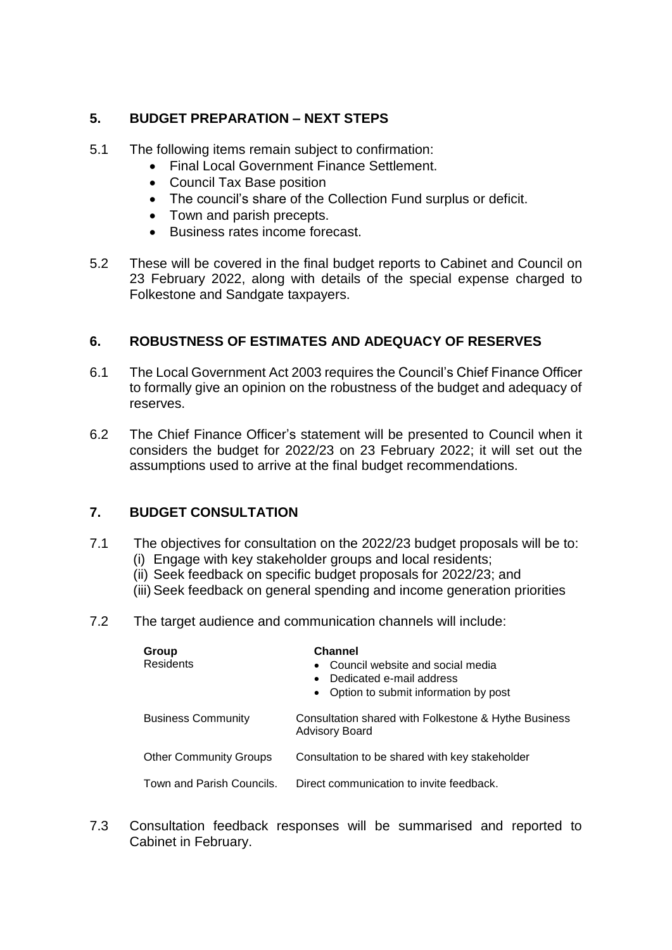## **5. BUDGET PREPARATION – NEXT STEPS**

- 5.1 The following items remain subject to confirmation:
	- Final Local Government Finance Settlement.
	- Council Tax Base position
	- The council's share of the Collection Fund surplus or deficit.
	- Town and parish precepts.
	- Business rates income forecast.
- 5.2 These will be covered in the final budget reports to Cabinet and Council on 23 February 2022, along with details of the special expense charged to Folkestone and Sandgate taxpayers.

## **6. ROBUSTNESS OF ESTIMATES AND ADEQUACY OF RESERVES**

- 6.1 The Local Government Act 2003 requires the Council's Chief Finance Officer to formally give an opinion on the robustness of the budget and adequacy of reserves.
- 6.2 The Chief Finance Officer's statement will be presented to Council when it considers the budget for 2022/23 on 23 February 2022; it will set out the assumptions used to arrive at the final budget recommendations.

## **7. BUDGET CONSULTATION**

- 7.1 The objectives for consultation on the 2022/23 budget proposals will be to:
	- (i) Engage with key stakeholder groups and local residents;
	- (ii) Seek feedback on specific budget proposals for 2022/23; and
	- (iii) Seek feedback on general spending and income generation priorities
- 7.2 The target audience and communication channels will include:

| Group<br><b>Residents</b>     | <b>Channel</b><br>Council website and social media<br>$\bullet$<br>Dedicated e-mail address<br>$\bullet$<br>Option to submit information by post<br>$\bullet$ |  |
|-------------------------------|---------------------------------------------------------------------------------------------------------------------------------------------------------------|--|
| <b>Business Community</b>     | Consultation shared with Folkestone & Hythe Business<br><b>Advisory Board</b>                                                                                 |  |
| <b>Other Community Groups</b> | Consultation to be shared with key stakeholder                                                                                                                |  |
| Town and Parish Councils.     | Direct communication to invite feedback.                                                                                                                      |  |

7.3 Consultation feedback responses will be summarised and reported to Cabinet in February.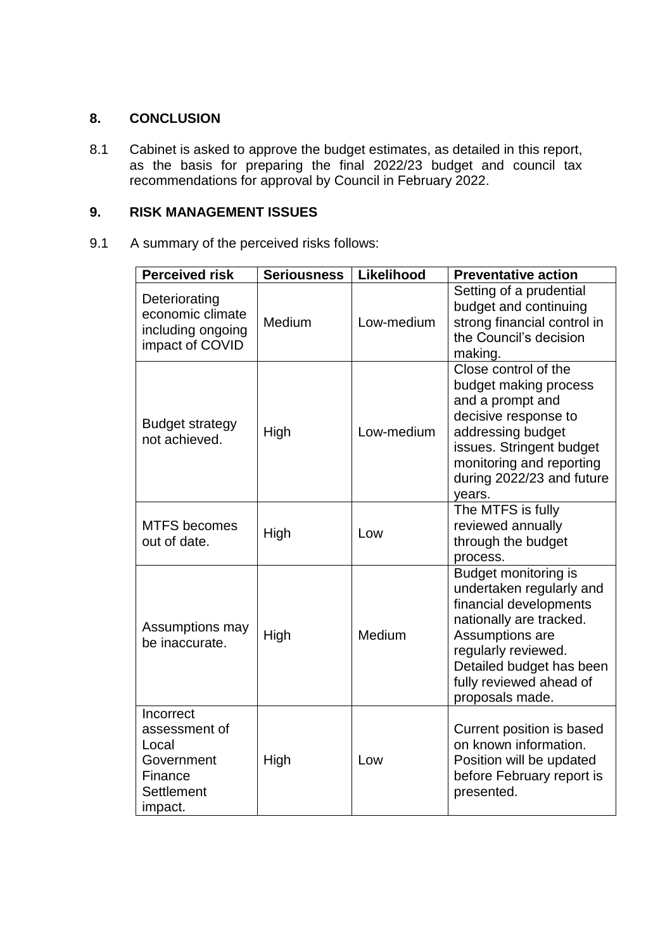### **8. CONCLUSION**

8.1 Cabinet is asked to approve the budget estimates, as detailed in this report, as the basis for preparing the final 2022/23 budget and council tax recommendations for approval by Council in February 2022.

### **9. RISK MANAGEMENT ISSUES**

9.1 A summary of the perceived risks follows:

| <b>Perceived risk</b>                                                                 | <b>Seriousness</b> | Likelihood | <b>Preventative action</b>                                                                                                                                                                                                |
|---------------------------------------------------------------------------------------|--------------------|------------|---------------------------------------------------------------------------------------------------------------------------------------------------------------------------------------------------------------------------|
| Deteriorating<br>economic climate<br>including ongoing<br>impact of COVID             | Medium             | Low-medium | Setting of a prudential<br>budget and continuing<br>strong financial control in<br>the Council's decision<br>making.                                                                                                      |
| <b>Budget strategy</b><br>not achieved.                                               | High               | Low-medium | Close control of the<br>budget making process<br>and a prompt and<br>decisive response to<br>addressing budget<br>issues. Stringent budget<br>monitoring and reporting<br>during 2022/23 and future<br>years.             |
| <b>MTFS</b> becomes<br>out of date.                                                   | High               | Low        | The MTFS is fully<br>reviewed annually<br>through the budget<br>process.                                                                                                                                                  |
| Assumptions may<br>be inaccurate.                                                     | High               | Medium     | Budget monitoring is<br>undertaken regularly and<br>financial developments<br>nationally are tracked.<br>Assumptions are<br>regularly reviewed.<br>Detailed budget has been<br>fully reviewed ahead of<br>proposals made. |
| Incorrect<br>assessment of<br>Local<br>Government<br>Finance<br>Settlement<br>impact. | High               | Low        | Current position is based<br>on known information.<br>Position will be updated<br>before February report is<br>presented.                                                                                                 |